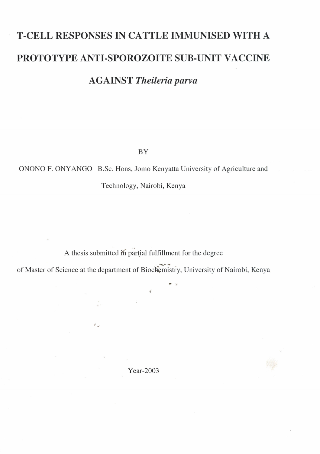## **T-CELL RESPONSES IN CATTLE IMMUNISED WITH** A **PROTOTYPE ANTI-SPOROZOITE SUB-UNIT VACCINE**

A **GAINST** *Theileria parva*

BY

ONONO F. ONY ANGO B.Sc. Hons, Jorno Kenyatta University of Agriculture and

Technology, Nairobi, Kenya

A thesis submitted in partial fulfillment for the degree

of Master of Science at the department of Biochemistry, University of Nairobi, Kenya<br>\*\*

 $\frac{d}{2}$ 

Year-2003

 $r_{\alpha}$